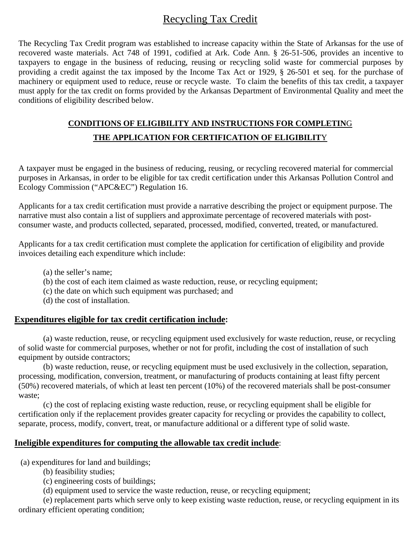## Recycling Tax Credit

The Recycling Tax Credit program was established to increase capacity within the State of Arkansas for the use of recovered waste materials. Act 748 of 1991, codified at Ark. Code Ann. § 26-51-506, provides an incentive to taxpayers to engage in the business of reducing, reusing or recycling solid waste for commercial purposes by providing a credit against the tax imposed by the Income Tax Act or 1929, § 26-501 et seq. for the purchase of machinery or equipment used to reduce, reuse or recycle waste. To claim the benefits of this tax credit, a taxpayer must apply for the tax credit on forms provided by the Arkansas Department of Environmental Quality and meet the conditions of eligibility described below.

## **CONDITIONS OF ELIGIBILITY AND INSTRUCTIONS FOR COMPLETIN**G **THE APPLICATION FOR CERTIFICATION OF ELIGIBILIT**Y

A taxpayer must be engaged in the business of reducing, reusing, or recycling recovered material for commercial purposes in Arkansas, in order to be eligible for tax credit certification under this Arkansas Pollution Control and Ecology Commission ("APC&EC") Regulation 16.

Applicants for a tax credit certification must provide a narrative describing the project or equipment purpose. The narrative must also contain a list of suppliers and approximate percentage of recovered materials with postconsumer waste, and products collected, separated, processed, modified, converted, treated, or manufactured.

Applicants for a tax credit certification must complete the application for certification of eligibility and provide invoices detailing each expenditure which include:

- (a) the seller's name;
- (b) the cost of each item claimed as waste reduction, reuse, or recycling equipment;
- (c) the date on which such equipment was purchased; and
- (d) the cost of installation.

#### **Expenditures eligible for tax credit certification include:**

(a) waste reduction, reuse, or recycling equipment used exclusively for waste reduction, reuse, or recycling of solid waste for commercial purposes, whether or not for profit, including the cost of installation of such equipment by outside contractors;

(b) waste reduction, reuse, or recycling equipment must be used exclusively in the collection, separation, processing, modification, conversion, treatment, or manufacturing of products containing at least fifty percent (50%) recovered materials, of which at least ten percent (10%) of the recovered materials shall be post-consumer waste;

(c) the cost of replacing existing waste reduction, reuse, or recycling equipment shall be eligible for certification only if the replacement provides greater capacity for recycling or provides the capability to collect, separate, process, modify, convert, treat, or manufacture additional or a different type of solid waste.

### **Ineligible expenditures for computing the allowable tax credit include**:

(a) expenditures for land and buildings;

- (b) feasibility studies;
- (c) engineering costs of buildings;
- (d) equipment used to service the waste reduction, reuse, or recycling equipment;

(e) replacement parts which serve only to keep existing waste reduction, reuse, or recycling equipment in its ordinary efficient operating condition;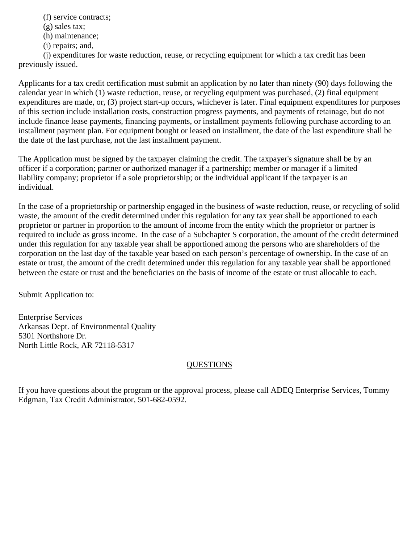(f) service contracts;

(g) sales tax;

(h) maintenance;

(i) repairs; and,

(j) expenditures for waste reduction, reuse, or recycling equipment for which a tax credit has been previously issued.

Applicants for a tax credit certification must submit an application by no later than ninety (90) days following the calendar year in which (1) waste reduction, reuse, or recycling equipment was purchased, (2) final equipment expenditures are made, or, (3) project start-up occurs, whichever is later. Final equipment expenditures for purposes of this section include installation costs, construction progress payments, and payments of retainage, but do not include finance lease payments, financing payments, or installment payments following purchase according to an installment payment plan. For equipment bought or leased on installment, the date of the last expenditure shall be the date of the last purchase, not the last installment payment.

The Application must be signed by the taxpayer claiming the credit. The taxpayer's signature shall be by an officer if a corporation; partner or authorized manager if a partnership; member or manager if a limited liability company; proprietor if a sole proprietorship; or the individual applicant if the taxpayer is an individual.

In the case of a proprietorship or partnership engaged in the business of waste reduction, reuse, or recycling of solid waste, the amount of the credit determined under this regulation for any tax year shall be apportioned to each proprietor or partner in proportion to the amount of income from the entity which the proprietor or partner is required to include as gross income. In the case of a Subchapter S corporation, the amount of the credit determined under this regulation for any taxable year shall be apportioned among the persons who are shareholders of the corporation on the last day of the taxable year based on each person's percentage of ownership. In the case of an estate or trust, the amount of the credit determined under this regulation for any taxable year shall be apportioned between the estate or trust and the beneficiaries on the basis of income of the estate or trust allocable to each.

Submit Application to:

Enterprise Services Arkansas Dept. of Environmental Quality 5301 Northshore Dr. North Little Rock, AR 72118-5317

### QUESTIONS

If you have questions about the program or the approval process, please call ADEQ Enterprise Services, Tommy Edgman, Tax Credit Administrator, 501-682-0592.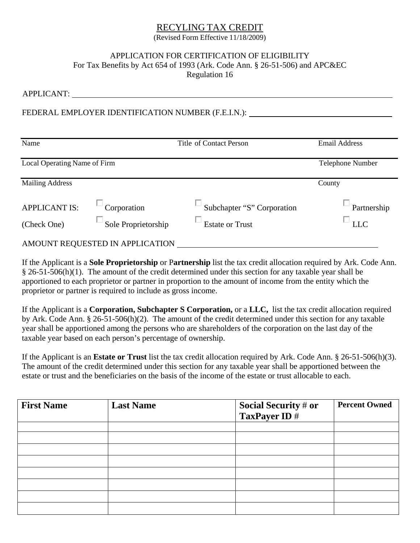# RECYLING TAX CREDIT

(Revised Form Effective 11/18/2009)

## APPLICATION FOR CERTIFICATION OF ELIGIBILITY For Tax Benefits by Act 654 of 1993 (Ark. Code Ann. § 26-51-506) and APC&EC

Regulation 16

| <b>APPLICANT:</b>            |                                                    |                            |                      |  |  |
|------------------------------|----------------------------------------------------|----------------------------|----------------------|--|--|
|                              | FEDERAL EMPLOYER IDENTIFICATION NUMBER (F.E.I.N.): |                            |                      |  |  |
| Name                         | Title of Contact Person                            |                            | <b>Email Address</b> |  |  |
| Local Operating Name of Firm | Telephone Number                                   |                            |                      |  |  |
| <b>Mailing Address</b>       |                                                    |                            | County               |  |  |
| <b>APPLICANT IS:</b>         | Corporation                                        | Subchapter "S" Corporation | Partnership          |  |  |
| (Check One)                  | Sole Proprietorship                                | <b>Estate or Trust</b>     | <b>LLC</b>           |  |  |
|                              | AMOUNT REQUESTED IN APPLICATION                    |                            |                      |  |  |

If the Applicant is a **Sole Proprietorship** or P**artnership** list the tax credit allocation required by Ark. Code Ann. § 26-51-506(h)(1). The amount of the credit determined under this section for any taxable year shall be apportioned to each proprietor or partner in proportion to the amount of income from the entity which the proprietor or partner is required to include as gross income.

If the Applicant is a **Corporation, Subchapter S Corporation,** or a **LLC,** list the tax credit allocation required by Ark. Code Ann. § 26-51-506(h)(2). The amount of the credit determined under this section for any taxable year shall be apportioned among the persons who are shareholders of the corporation on the last day of the taxable year based on each person's percentage of ownership.

If the Applicant is an **Estate or Trust** list the tax credit allocation required by Ark. Code Ann. § 26-51-506(h)(3). The amount of the credit determined under this section for any taxable year shall be apportioned between the estate or trust and the beneficiaries on the basis of the income of the estate or trust allocable to each.

| <b>First Name</b> | <b>Last Name</b> | Social Security # or<br>TaxPayer ID # | <b>Percent Owned</b> |
|-------------------|------------------|---------------------------------------|----------------------|
|                   |                  |                                       |                      |
|                   |                  |                                       |                      |
|                   |                  |                                       |                      |
|                   |                  |                                       |                      |
|                   |                  |                                       |                      |
|                   |                  |                                       |                      |
|                   |                  |                                       |                      |
|                   |                  |                                       |                      |
|                   |                  |                                       |                      |